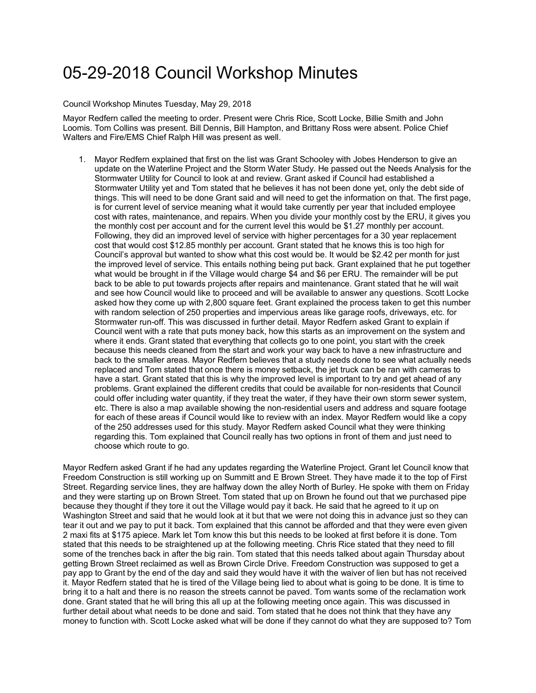## 05-29-2018 Council Workshop Minutes

Council Workshop Minutes Tuesday, May 29, 2018

Mayor Redfern called the meeting to order. Present were Chris Rice, Scott Locke, Billie Smith and John Loomis. Tom Collins was present. Bill Dennis, Bill Hampton, and Brittany Ross were absent. Police Chief Walters and Fire/EMS Chief Ralph Hill was present as well.

1. Mayor Redfern explained that first on the list was Grant Schooley with Jobes Henderson to give an update on the Waterline Project and the Storm Water Study. He passed out the Needs Analysis for the Stormwater Utility for Council to look at and review. Grant asked if Council had established a Stormwater Utility yet and Tom stated that he believes it has not been done yet, only the debt side of things. This will need to be done Grant said and will need to get the information on that. The first page, is for current level of service meaning what it would take currently per year that included employee cost with rates, maintenance, and repairs. When you divide your monthly cost by the ERU, it gives you the monthly cost per account and for the current level this would be \$1.27 monthly per account. Following, they did an improved level of service with higher percentages for a 30 year replacement cost that would cost \$12.85 monthly per account. Grant stated that he knows this is too high for Council's approval but wanted to show what this cost would be. It would be \$2.42 per month for just the improved level of service. This entails nothing being put back. Grant explained that he put together what would be brought in if the Village would charge \$4 and \$6 per ERU. The remainder will be put back to be able to put towards projects after repairs and maintenance. Grant stated that he will wait and see how Council would like to proceed and will be available to answer any questions. Scott Locke asked how they come up with 2,800 square feet. Grant explained the process taken to get this number with random selection of 250 properties and impervious areas like garage roofs, driveways, etc. for Stormwater run-off. This was discussed in further detail. Mayor Redfern asked Grant to explain if Council went with a rate that puts money back, how this starts as an improvement on the system and where it ends. Grant stated that everything that collects go to one point, you start with the creek because this needs cleaned from the start and work your way back to have a new infrastructure and back to the smaller areas. Mayor Redfern believes that a study needs done to see what actually needs replaced and Tom stated that once there is money setback, the jet truck can be ran with cameras to have a start. Grant stated that this is why the improved level is important to try and get ahead of any problems. Grant explained the different credits that could be available for non-residents that Council could offer including water quantity, if they treat the water, if they have their own storm sewer system, etc. There is also a map available showing the non-residential users and address and square footage for each of these areas if Council would like to review with an index. Mayor Redfern would like a copy of the 250 addresses used for this study. Mayor Redfern asked Council what they were thinking regarding this. Tom explained that Council really has two options in front of them and just need to choose which route to go.

Mayor Redfern asked Grant if he had any updates regarding the Waterline Project. Grant let Council know that Freedom Construction is still working up on Summitt and E Brown Street. They have made it to the top of First Street. Regarding service lines, they are halfway down the alley North of Burley. He spoke with them on Friday and they were starting up on Brown Street. Tom stated that up on Brown he found out that we purchased pipe because they thought if they tore it out the Village would pay it back. He said that he agreed to it up on Washington Street and said that he would look at it but that we were not doing this in advance just so they can tear it out and we pay to put it back. Tom explained that this cannot be afforded and that they were even given 2 maxi fits at \$175 apiece. Mark let Tom know this but this needs to be looked at first before it is done. Tom stated that this needs to be straightened up at the following meeting. Chris Rice stated that they need to fill some of the trenches back in after the big rain. Tom stated that this needs talked about again Thursday about getting Brown Street reclaimed as well as Brown Circle Drive. Freedom Construction was supposed to get a pay app to Grant by the end of the day and said they would have it with the waiver of lien but has not received it. Mayor Redfern stated that he is tired of the Village being lied to about what is going to be done. It is time to bring it to a halt and there is no reason the streets cannot be paved. Tom wants some of the reclamation work done. Grant stated that he will bring this all up at the following meeting once again. This was discussed in further detail about what needs to be done and said. Tom stated that he does not think that they have any money to function with. Scott Locke asked what will be done if they cannot do what they are supposed to? Tom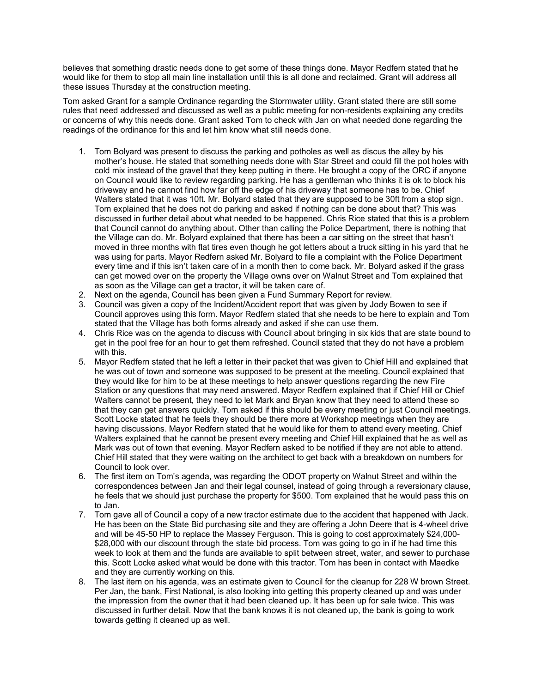believes that something drastic needs done to get some of these things done. Mayor Redfern stated that he would like for them to stop all main line installation until this is all done and reclaimed. Grant will address all these issues Thursday at the construction meeting.

Tom asked Grant for a sample Ordinance regarding the Stormwater utility. Grant stated there are still some rules that need addressed and discussed as well as a public meeting for non-residents explaining any credits or concerns of why this needs done. Grant asked Tom to check with Jan on what needed done regarding the readings of the ordinance for this and let him know what still needs done.

- 1. Tom Bolyard was present to discuss the parking and potholes as well as discus the alley by his mother's house. He stated that something needs done with Star Street and could fill the pot holes with cold mix instead of the gravel that they keep putting in there. He brought a copy of the ORC if anyone on Council would like to review regarding parking. He has a gentleman who thinks it is ok to block his driveway and he cannot find how far off the edge of his driveway that someone has to be. Chief Walters stated that it was 10ft. Mr. Bolyard stated that they are supposed to be 30ft from a stop sign. Tom explained that he does not do parking and asked if nothing can be done about that? This was discussed in further detail about what needed to be happened. Chris Rice stated that this is a problem that Council cannot do anything about. Other than calling the Police Department, there is nothing that the Village can do. Mr. Bolyard explained that there has been a car sitting on the street that hasn't moved in three months with flat tires even though he got letters about a truck sitting in his yard that he was using for parts. Mayor Redfern asked Mr. Bolyard to file a complaint with the Police Department every time and if this isn't taken care of in a month then to come back. Mr. Bolyard asked if the grass can get mowed over on the property the Village owns over on Walnut Street and Tom explained that as soon as the Village can get a tractor, it will be taken care of.
- 2. Next on the agenda, Council has been given a Fund Summary Report for review.
- 3. Council was given a copy of the Incident/Accident report that was given by Jody Bowen to see if Council approves using this form. Mayor Redfern stated that she needs to be here to explain and Tom stated that the Village has both forms already and asked if she can use them.
- 4. Chris Rice was on the agenda to discuss with Council about bringing in six kids that are state bound to get in the pool free for an hour to get them refreshed. Council stated that they do not have a problem with this.
- 5. Mayor Redfern stated that he left a letter in their packet that was given to Chief Hill and explained that he was out of town and someone was supposed to be present at the meeting. Council explained that they would like for him to be at these meetings to help answer questions regarding the new Fire Station or any questions that may need answered. Mayor Redfern explained that if Chief Hill or Chief Walters cannot be present, they need to let Mark and Bryan know that they need to attend these so that they can get answers quickly. Tom asked if this should be every meeting or just Council meetings. Scott Locke stated that he feels they should be there more at Workshop meetings when they are having discussions. Mayor Redfern stated that he would like for them to attend every meeting. Chief Walters explained that he cannot be present every meeting and Chief Hill explained that he as well as Mark was out of town that evening. Mayor Redfern asked to be notified if they are not able to attend. Chief Hill stated that they were waiting on the architect to get back with a breakdown on numbers for Council to look over.
- 6. The first item on Tom's agenda, was regarding the ODOT property on Walnut Street and within the correspondences between Jan and their legal counsel, instead of going through a reversionary clause, he feels that we should just purchase the property for \$500. Tom explained that he would pass this on to Jan.
- 7. Tom gave all of Council a copy of a new tractor estimate due to the accident that happened with Jack. He has been on the State Bid purchasing site and they are offering a John Deere that is 4-wheel drive and will be 45-50 HP to replace the Massey Ferguson. This is going to cost approximately \$24,000- \$28,000 with our discount through the state bid process. Tom was going to go in if he had time this week to look at them and the funds are available to split between street, water, and sewer to purchase this. Scott Locke asked what would be done with this tractor. Tom has been in contact with Maedke and they are currently working on this.
- 8. The last item on his agenda, was an estimate given to Council for the cleanup for 228 W brown Street. Per Jan, the bank, First National, is also looking into getting this property cleaned up and was under the impression from the owner that it had been cleaned up. It has been up for sale twice. This was discussed in further detail. Now that the bank knows it is not cleaned up, the bank is going to work towards getting it cleaned up as well.